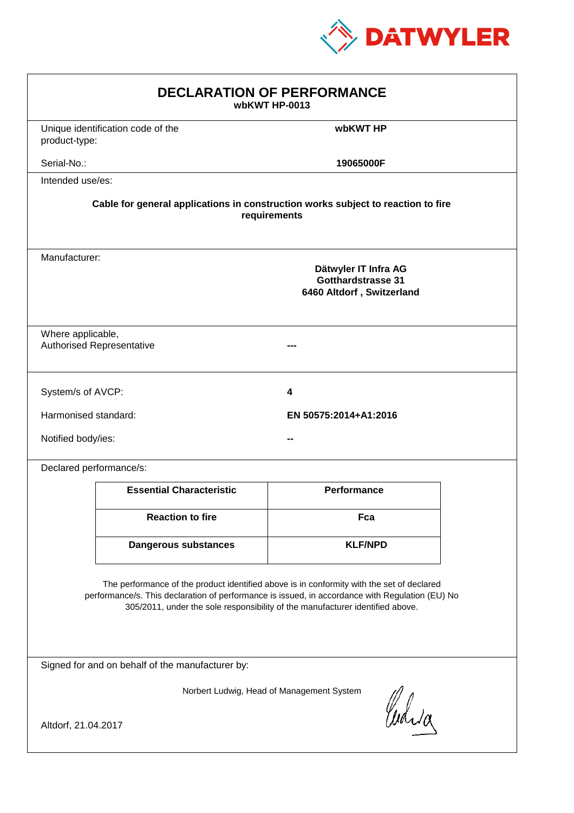

| <b>DECLARATION OF PERFORMANCE</b><br>wbKWT HP-0013                                                                                                                                                                                                                            |                                                                                                 |                       |  |  |  |
|-------------------------------------------------------------------------------------------------------------------------------------------------------------------------------------------------------------------------------------------------------------------------------|-------------------------------------------------------------------------------------------------|-----------------------|--|--|--|
| product-type:                                                                                                                                                                                                                                                                 | Unique identification code of the                                                               | wbKWT HP              |  |  |  |
| Serial-No.:                                                                                                                                                                                                                                                                   |                                                                                                 | 19065000F             |  |  |  |
| Intended use/es:                                                                                                                                                                                                                                                              |                                                                                                 |                       |  |  |  |
| Cable for general applications in construction works subject to reaction to fire<br>requirements                                                                                                                                                                              |                                                                                                 |                       |  |  |  |
|                                                                                                                                                                                                                                                                               | Manufacturer:<br>Dätwyler IT Infra AG<br><b>Gotthardstrasse 31</b><br>6460 Altdorf, Switzerland |                       |  |  |  |
|                                                                                                                                                                                                                                                                               | Where applicable,<br><b>Authorised Representative</b>                                           |                       |  |  |  |
| System/s of AVCP:                                                                                                                                                                                                                                                             |                                                                                                 | 4                     |  |  |  |
| Harmonised standard:                                                                                                                                                                                                                                                          |                                                                                                 | EN 50575:2014+A1:2016 |  |  |  |
| Notified body/ies:                                                                                                                                                                                                                                                            |                                                                                                 |                       |  |  |  |
| Declared performance/s:                                                                                                                                                                                                                                                       |                                                                                                 |                       |  |  |  |
|                                                                                                                                                                                                                                                                               | <b>Essential Characteristic</b>                                                                 | <b>Performance</b>    |  |  |  |
|                                                                                                                                                                                                                                                                               | <b>Reaction to fire</b>                                                                         | Fca                   |  |  |  |
|                                                                                                                                                                                                                                                                               | <b>Dangerous substances</b>                                                                     | <b>KLF/NPD</b>        |  |  |  |
| The performance of the product identified above is in conformity with the set of declared<br>performance/s. This declaration of performance is issued, in accordance with Regulation (EU) No<br>305/2011, under the sole responsibility of the manufacturer identified above. |                                                                                                 |                       |  |  |  |
| Signed for and on behalf of the manufacturer by:                                                                                                                                                                                                                              |                                                                                                 |                       |  |  |  |
| Norbert Ludwig, Head of Management System<br>Curia                                                                                                                                                                                                                            |                                                                                                 |                       |  |  |  |
| Altdorf, 21.04.2017                                                                                                                                                                                                                                                           |                                                                                                 |                       |  |  |  |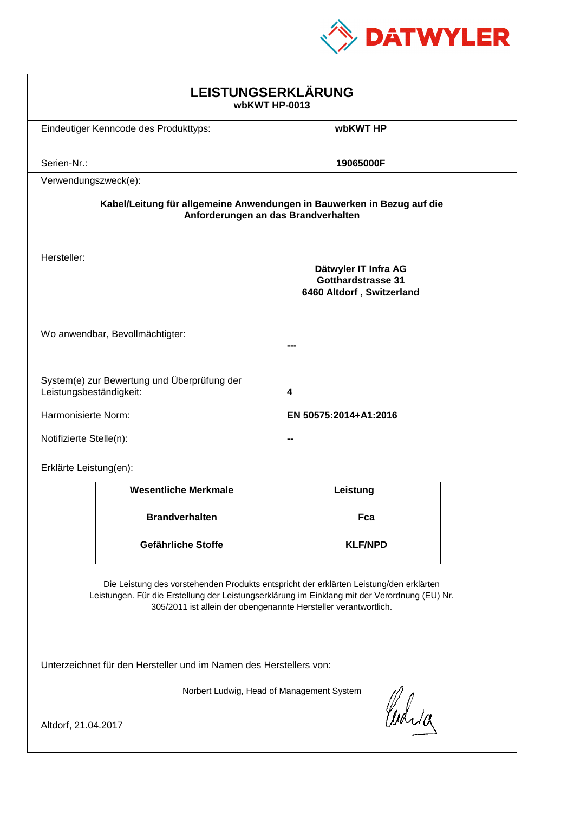

| LEISTUNGSERKLÄRUNG<br>wbKWT HP-0013                                                                                                                                                                                                                        |                                             |                                                                         |  |  |
|------------------------------------------------------------------------------------------------------------------------------------------------------------------------------------------------------------------------------------------------------------|---------------------------------------------|-------------------------------------------------------------------------|--|--|
|                                                                                                                                                                                                                                                            | Eindeutiger Kenncode des Produkttyps:       | wbKWT HP                                                                |  |  |
| Serien-Nr.:                                                                                                                                                                                                                                                |                                             | 19065000F                                                               |  |  |
| Verwendungszweck(e):                                                                                                                                                                                                                                       |                                             |                                                                         |  |  |
| Kabel/Leitung für allgemeine Anwendungen in Bauwerken in Bezug auf die<br>Anforderungen an das Brandverhalten                                                                                                                                              |                                             |                                                                         |  |  |
| Hersteller:                                                                                                                                                                                                                                                |                                             | Dätwyler IT Infra AG<br>Gotthardstrasse 31<br>6460 Altdorf, Switzerland |  |  |
|                                                                                                                                                                                                                                                            | Wo anwendbar, Bevollmächtigter:             |                                                                         |  |  |
| Leistungsbeständigkeit:                                                                                                                                                                                                                                    | System(e) zur Bewertung und Überprüfung der | 4                                                                       |  |  |
| Harmonisierte Norm:                                                                                                                                                                                                                                        |                                             | EN 50575:2014+A1:2016                                                   |  |  |
| Notifizierte Stelle(n):                                                                                                                                                                                                                                    |                                             |                                                                         |  |  |
| Erklärte Leistung(en):                                                                                                                                                                                                                                     |                                             |                                                                         |  |  |
|                                                                                                                                                                                                                                                            | <b>Wesentliche Merkmale</b>                 | Leistung                                                                |  |  |
|                                                                                                                                                                                                                                                            | <b>Brandverhalten</b>                       | Fca                                                                     |  |  |
|                                                                                                                                                                                                                                                            | Gefährliche Stoffe                          | <b>KLF/NPD</b>                                                          |  |  |
| Die Leistung des vorstehenden Produkts entspricht der erklärten Leistung/den erklärten<br>Leistungen. Für die Erstellung der Leistungserklärung im Einklang mit der Verordnung (EU) Nr.<br>305/2011 ist allein der obengenannte Hersteller verantwortlich. |                                             |                                                                         |  |  |
| Unterzeichnet für den Hersteller und im Namen des Herstellers von:                                                                                                                                                                                         |                                             |                                                                         |  |  |
| Norbert Ludwig, Head of Management System<br>Curia<br>Altdorf, 21.04.2017                                                                                                                                                                                  |                                             |                                                                         |  |  |
|                                                                                                                                                                                                                                                            |                                             |                                                                         |  |  |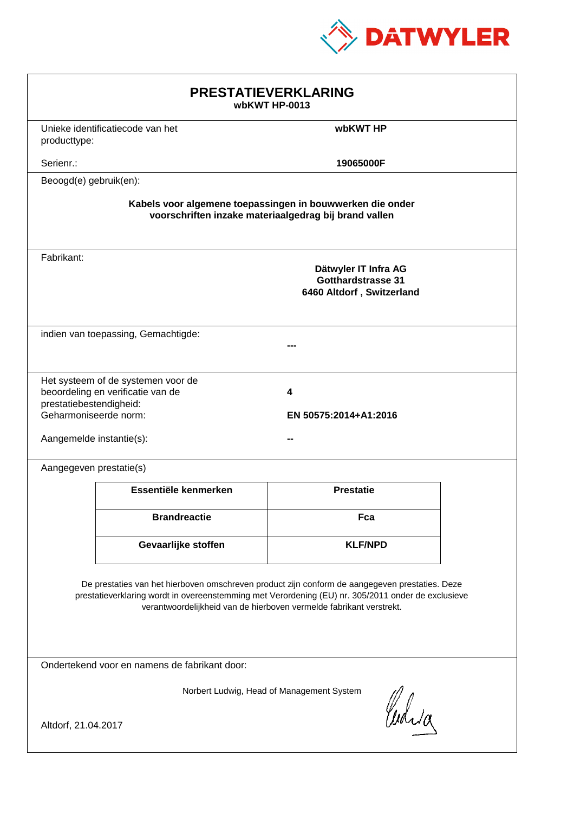

| <b>PRESTATIEVERKLARING</b><br>wbKWT HP-0013                                                                                                                                                                                                                                 |                                                                         |                                                                         |  |  |
|-----------------------------------------------------------------------------------------------------------------------------------------------------------------------------------------------------------------------------------------------------------------------------|-------------------------------------------------------------------------|-------------------------------------------------------------------------|--|--|
| producttype:                                                                                                                                                                                                                                                                | Unieke identificatiecode van het                                        | wbKWT HP                                                                |  |  |
| Serienr.:                                                                                                                                                                                                                                                                   |                                                                         | 19065000F                                                               |  |  |
| Beoogd(e) gebruik(en):                                                                                                                                                                                                                                                      |                                                                         |                                                                         |  |  |
| Kabels voor algemene toepassingen in bouwwerken die onder<br>voorschriften inzake materiaalgedrag bij brand vallen                                                                                                                                                          |                                                                         |                                                                         |  |  |
| Fabrikant:                                                                                                                                                                                                                                                                  |                                                                         | Dätwyler IT Infra AG<br>Gotthardstrasse 31<br>6460 Altdorf, Switzerland |  |  |
| indien van toepassing, Gemachtigde:                                                                                                                                                                                                                                         |                                                                         |                                                                         |  |  |
| prestatiebestendigheid:<br>Geharmoniseerde norm:<br>Aangemelde instantie(s):                                                                                                                                                                                                | Het systeem of de systemen voor de<br>beoordeling en verificatie van de | 4<br>EN 50575:2014+A1:2016                                              |  |  |
| Aangegeven prestatie(s)                                                                                                                                                                                                                                                     |                                                                         |                                                                         |  |  |
|                                                                                                                                                                                                                                                                             | Essentiële kenmerken                                                    | <b>Prestatie</b>                                                        |  |  |
|                                                                                                                                                                                                                                                                             | <b>Brandreactie</b>                                                     | Fca                                                                     |  |  |
|                                                                                                                                                                                                                                                                             | Gevaarlijke stoffen                                                     | <b>KLF/NPD</b>                                                          |  |  |
| De prestaties van het hierboven omschreven product zijn conform de aangegeven prestaties. Deze<br>prestatieverklaring wordt in overeenstemming met Verordening (EU) nr. 305/2011 onder de exclusieve<br>verantwoordelijkheid van de hierboven vermelde fabrikant verstrekt. |                                                                         |                                                                         |  |  |
| Ondertekend voor en namens de fabrikant door:                                                                                                                                                                                                                               |                                                                         |                                                                         |  |  |
| Norbert Ludwig, Head of Management System<br>Curia<br>Altdorf, 21.04.2017                                                                                                                                                                                                   |                                                                         |                                                                         |  |  |
|                                                                                                                                                                                                                                                                             |                                                                         |                                                                         |  |  |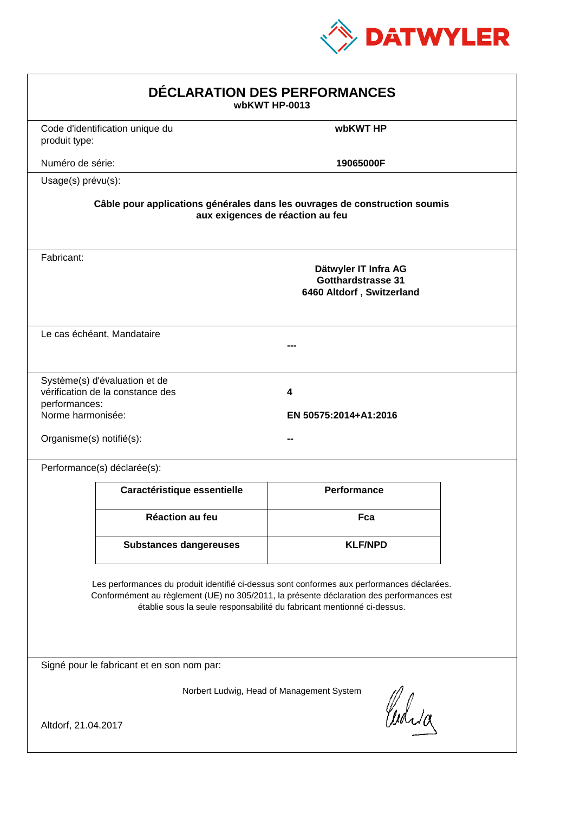

| DÉCLARATION DES PERFORMANCES<br>wbKWT HP-0013                                                                                                                                                                                                                    |                                                                                                                |                                                                                |  |  |  |
|------------------------------------------------------------------------------------------------------------------------------------------------------------------------------------------------------------------------------------------------------------------|----------------------------------------------------------------------------------------------------------------|--------------------------------------------------------------------------------|--|--|--|
| produit type:                                                                                                                                                                                                                                                    | Code d'identification unique du                                                                                | wbKWT HP                                                                       |  |  |  |
| Numéro de série:                                                                                                                                                                                                                                                 |                                                                                                                | 19065000F                                                                      |  |  |  |
|                                                                                                                                                                                                                                                                  | Usage(s) prévu(s):                                                                                             |                                                                                |  |  |  |
|                                                                                                                                                                                                                                                                  | Câble pour applications générales dans les ouvrages de construction soumis<br>aux exigences de réaction au feu |                                                                                |  |  |  |
| Fabricant:                                                                                                                                                                                                                                                       |                                                                                                                | Dätwyler IT Infra AG<br><b>Gotthardstrasse 31</b><br>6460 Altdorf, Switzerland |  |  |  |
|                                                                                                                                                                                                                                                                  | Le cas échéant, Mandataire                                                                                     |                                                                                |  |  |  |
| performances:<br>Norme harmonisée:<br>Organisme(s) notifié(s):                                                                                                                                                                                                   | Système(s) d'évaluation et de<br>vérification de la constance des                                              | 4<br>EN 50575:2014+A1:2016                                                     |  |  |  |
|                                                                                                                                                                                                                                                                  | Performance(s) déclarée(s):                                                                                    |                                                                                |  |  |  |
|                                                                                                                                                                                                                                                                  | Caractéristique essentielle                                                                                    | <b>Performance</b>                                                             |  |  |  |
|                                                                                                                                                                                                                                                                  | Réaction au feu                                                                                                | Fca                                                                            |  |  |  |
|                                                                                                                                                                                                                                                                  | <b>Substances dangereuses</b>                                                                                  | <b>KLF/NPD</b>                                                                 |  |  |  |
| Les performances du produit identifié ci-dessus sont conformes aux performances déclarées.<br>Conformément au règlement (UE) no 305/2011, la présente déclaration des performances est<br>établie sous la seule responsabilité du fabricant mentionné ci-dessus. |                                                                                                                |                                                                                |  |  |  |
| Signé pour le fabricant et en son nom par:                                                                                                                                                                                                                       |                                                                                                                |                                                                                |  |  |  |
| Altdorf, 21.04.2017                                                                                                                                                                                                                                              |                                                                                                                | Norbert Ludwig, Head of Management System<br>Curia                             |  |  |  |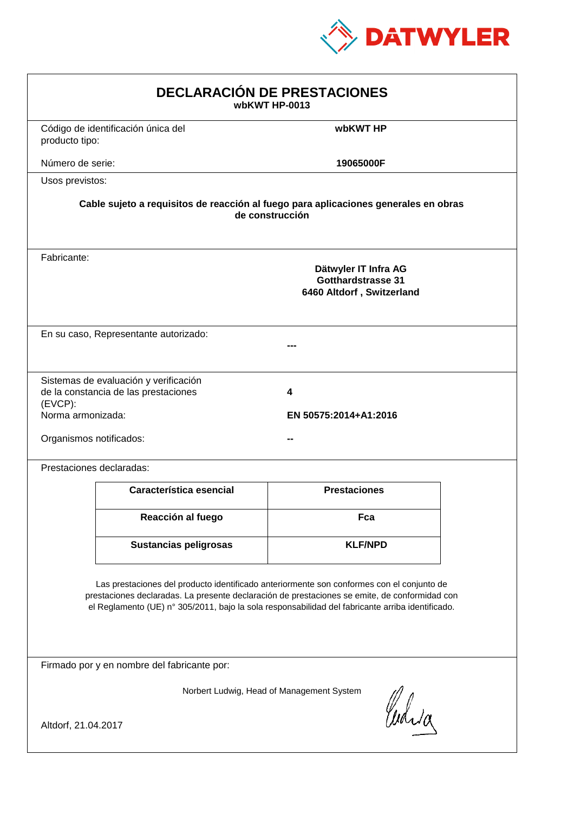

| <b>DECLARACIÓN DE PRESTACIONES</b><br>wbKWT HP-0013                                                                                                                                                                                                                                            |                                                                                                        |                            |  |  |  |
|------------------------------------------------------------------------------------------------------------------------------------------------------------------------------------------------------------------------------------------------------------------------------------------------|--------------------------------------------------------------------------------------------------------|----------------------------|--|--|--|
| producto tipo:                                                                                                                                                                                                                                                                                 | Código de identificación única del                                                                     | wbKWT HP                   |  |  |  |
| Número de serie:                                                                                                                                                                                                                                                                               |                                                                                                        | 19065000F                  |  |  |  |
| Usos previstos:                                                                                                                                                                                                                                                                                |                                                                                                        |                            |  |  |  |
|                                                                                                                                                                                                                                                                                                | Cable sujeto a requisitos de reacción al fuego para aplicaciones generales en obras<br>de construcción |                            |  |  |  |
| Fabricante:                                                                                                                                                                                                                                                                                    | Dätwyler IT Infra AG<br><b>Gotthardstrasse 31</b><br>6460 Altdorf, Switzerland                         |                            |  |  |  |
|                                                                                                                                                                                                                                                                                                | En su caso, Representante autorizado:                                                                  |                            |  |  |  |
| $(EVCP)$ :<br>Norma armonizada:<br>Organismos notificados:                                                                                                                                                                                                                                     | Sistemas de evaluación y verificación<br>de la constancia de las prestaciones                          | 4<br>EN 50575:2014+A1:2016 |  |  |  |
|                                                                                                                                                                                                                                                                                                | Prestaciones declaradas:                                                                               |                            |  |  |  |
|                                                                                                                                                                                                                                                                                                | Característica esencial                                                                                | <b>Prestaciones</b>        |  |  |  |
|                                                                                                                                                                                                                                                                                                | Reacción al fuego                                                                                      | Fca                        |  |  |  |
|                                                                                                                                                                                                                                                                                                | <b>Sustancias peligrosas</b>                                                                           | <b>KLF/NPD</b>             |  |  |  |
| Las prestaciones del producto identificado anteriormente son conformes con el conjunto de<br>prestaciones declaradas. La presente declaración de prestaciones se emite, de conformidad con<br>el Reglamento (UE) nº 305/2011, bajo la sola responsabilidad del fabricante arriba identificado. |                                                                                                        |                            |  |  |  |
| Firmado por y en nombre del fabricante por:                                                                                                                                                                                                                                                    |                                                                                                        |                            |  |  |  |
| Norbert Ludwig, Head of Management System<br>Curia                                                                                                                                                                                                                                             |                                                                                                        |                            |  |  |  |
| Altdorf, 21.04.2017                                                                                                                                                                                                                                                                            |                                                                                                        |                            |  |  |  |